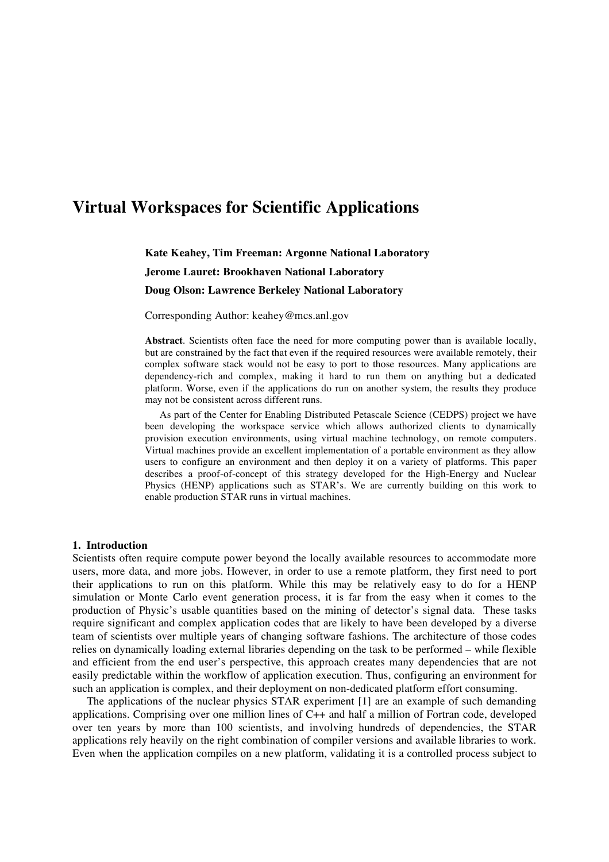# **Virtual Workspaces for Scientific Applications**

**Kate Keahey, Tim Freeman: Argonne National Laboratory Jerome Lauret: Brookhaven National Laboratory Doug Olson: Lawrence Berkeley National Laboratory**

Corresponding Author: keahey@mcs.anl.gov

**Abstract**. Scientists often face the need for more computing power than is available locally, but are constrained by the fact that even if the required resources were available remotely, their complex software stack would not be easy to port to those resources. Many applications are dependency-rich and complex, making it hard to run them on anything but a dedicated platform. Worse, even if the applications do run on another system, the results they produce may not be consistent across different runs.

As part of the Center for Enabling Distributed Petascale Science (CEDPS) project we have been developing the workspace service which allows authorized clients to dynamically provision execution environments, using virtual machine technology, on remote computers. Virtual machines provide an excellent implementation of a portable environment as they allow users to configure an environment and then deploy it on a variety of platforms. This paper describes a proof-of-concept of this strategy developed for the High-Energy and Nuclear Physics (HENP) applications such as STAR's. We are currently building on this work to enable production STAR runs in virtual machines.

### **1. Introduction**

Scientists often require compute power beyond the locally available resources to accommodate more users, more data, and more jobs. However, in order to use a remote platform, they first need to port their applications to run on this platform. While this may be relatively easy to do for a HENP simulation or Monte Carlo event generation process, it is far from the easy when it comes to the production of Physic's usable quantities based on the mining of detector's signal data. These tasks require significant and complex application codes that are likely to have been developed by a diverse team of scientists over multiple years of changing software fashions. The architecture of those codes relies on dynamically loading external libraries depending on the task to be performed – while flexible and efficient from the end user's perspective, this approach creates many dependencies that are not easily predictable within the workflow of application execution. Thus, configuring an environment for such an application is complex, and their deployment on non-dedicated platform effort consuming.

The applications of the nuclear physics STAR experiment [1] are an example of such demanding applications. Comprising over one million lines of C++ and half a million of Fortran code, developed over ten years by more than 100 scientists, and involving hundreds of dependencies, the STAR applications rely heavily on the right combination of compiler versions and available libraries to work. Even when the application compiles on a new platform, validating it is a controlled process subject to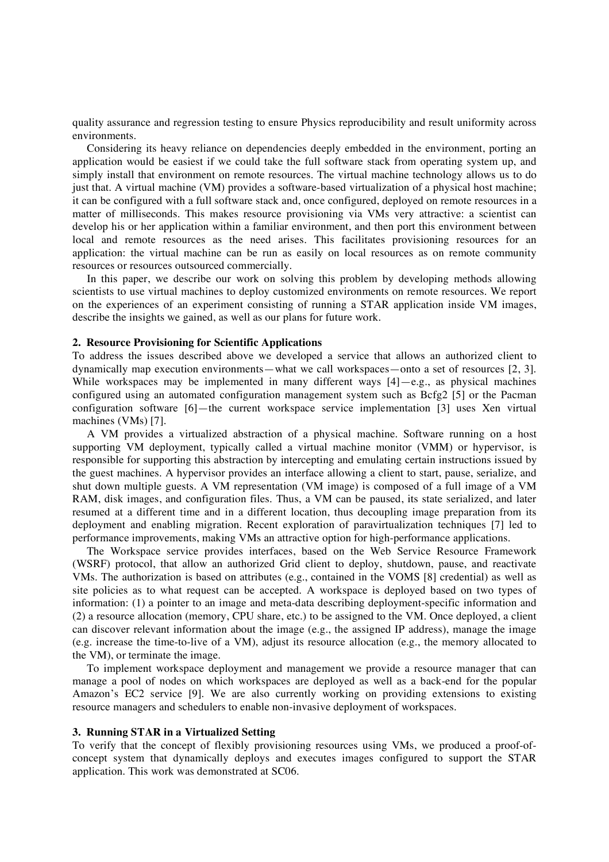quality assurance and regression testing to ensure Physics reproducibility and result uniformity across environments.

Considering its heavy reliance on dependencies deeply embedded in the environment, porting an application would be easiest if we could take the full software stack from operating system up, and simply install that environment on remote resources. The virtual machine technology allows us to do just that. A virtual machine (VM) provides a software-based virtualization of a physical host machine; it can be configured with a full software stack and, once configured, deployed on remote resources in a matter of milliseconds. This makes resource provisioning via VMs very attractive: a scientist can develop his or her application within a familiar environment, and then port this environment between local and remote resources as the need arises. This facilitates provisioning resources for an application: the virtual machine can be run as easily on local resources as on remote community resources or resources outsourced commercially.

In this paper, we describe our work on solving this problem by developing methods allowing scientists to use virtual machines to deploy customized environments on remote resources. We report on the experiences of an experiment consisting of running a STAR application inside VM images, describe the insights we gained, as well as our plans for future work.

#### **2. Resource Provisioning for Scientific Applications**

To address the issues described above we developed a service that allows an authorized client to dynamically map execution environments—what we call workspaces—onto a set of resources [2, 3]. While workspaces may be implemented in many different ways [4]—e.g., as physical machines configured using an automated configuration management system such as Bcfg2 [5] or the Pacman configuration software [6]—the current workspace service implementation [3] uses Xen virtual machines (VMs) [7].

A VM provides a virtualized abstraction of a physical machine. Software running on a host supporting VM deployment, typically called a virtual machine monitor (VMM) or hypervisor, is responsible for supporting this abstraction by intercepting and emulating certain instructions issued by the guest machines. A hypervisor provides an interface allowing a client to start, pause, serialize, and shut down multiple guests. A VM representation (VM image) is composed of a full image of a VM RAM, disk images, and configuration files. Thus, a VM can be paused, its state serialized, and later resumed at a different time and in a different location, thus decoupling image preparation from its deployment and enabling migration. Recent exploration of paravirtualization techniques [7] led to performance improvements, making VMs an attractive option for high-performance applications.

The Workspace service provides interfaces, based on the Web Service Resource Framework (WSRF) protocol, that allow an authorized Grid client to deploy, shutdown, pause, and reactivate VMs. The authorization is based on attributes (e.g., contained in the VOMS [8] credential) as well as site policies as to what request can be accepted. A workspace is deployed based on two types of information: (1) a pointer to an image and meta-data describing deployment-specific information and (2) a resource allocation (memory, CPU share, etc.) to be assigned to the VM. Once deployed, a client can discover relevant information about the image (e.g., the assigned IP address), manage the image (e.g. increase the time-to-live of a VM), adjust its resource allocation (e.g., the memory allocated to the VM), or terminate the image.

To implement workspace deployment and management we provide a resource manager that can manage a pool of nodes on which workspaces are deployed as well as a back-end for the popular Amazon's EC2 service [9]. We are also currently working on providing extensions to existing resource managers and schedulers to enable non-invasive deployment of workspaces.

#### **3. Running STAR in a Virtualized Setting**

To verify that the concept of flexibly provisioning resources using VMs, we produced a proof-ofconcept system that dynamically deploys and executes images configured to support the STAR application. This work was demonstrated at SC06.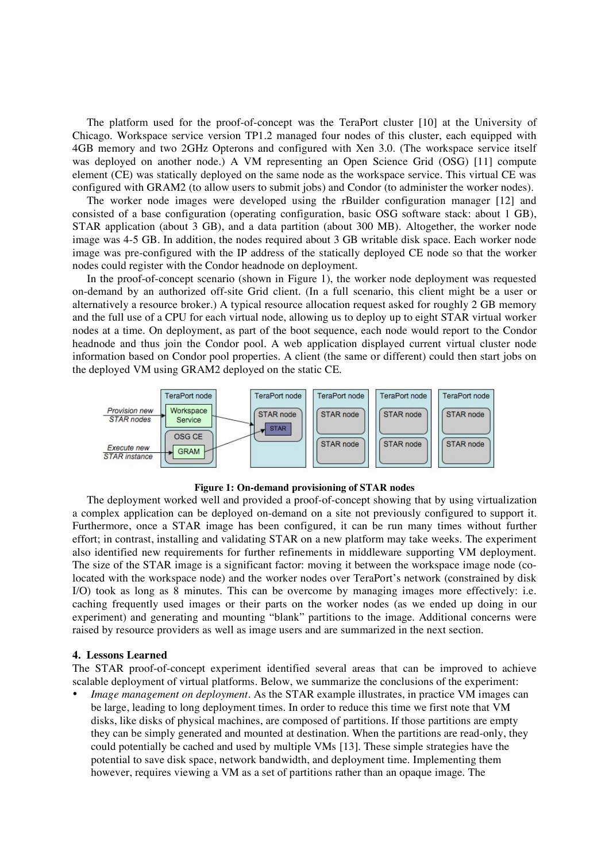The platform used for the proof-of-concept was the TeraPort cluster [10] at the University of Chicago. Workspace service version TP1.2 managed four nodes of this cluster, each equipped with 4GB memory and two 2GHz Opterons and configured with Xen 3.0. (The workspace service itself was deployed on another node.) A VM representing an Open Science Grid (OSG) [11] compute element (CE) was statically deployed on the same node as the workspace service. This virtual CE was configured with GRAM2 (to allow users to submit jobs) and Condor (to administer the worker nodes).

The worker node images were developed using the rBuilder configuration manager [12] and consisted of a base configuration (operating configuration, basic OSG software stack: about 1 GB), STAR application (about 3 GB), and a data partition (about 300 MB). Altogether, the worker node image was 4-5 GB. In addition, the nodes required about 3 GB writable disk space. Each worker node image was pre-configured with the IP address of the statically deployed CE node so that the worker nodes could register with the Condor headnode on deployment.

In the proof-of-concept scenario (shown in Figure 1), the worker node deployment was requested on-demand by an authorized off-site Grid client. (In a full scenario, this client might be a user or alternatively a resource broker.) A typical resource allocation request asked for roughly 2 GB memory and the full use of a CPU for each virtual node, allowing us to deploy up to eight STAR virtual worker nodes at a time. On deployment, as part of the boot sequence, each node would report to the Condor headnode and thus join the Condor pool. A web application displayed current virtual cluster node information based on Condor pool properties. A client (the same or different) could then start jobs on the deployed VM using GRAM2 deployed on the static CE.



**Figure 1: On-demand provisioning of STAR nodes**

The deployment worked well and provided a proof-of-concept showing that by using virtualization a complex application can be deployed on-demand on a site not previously configured to support it. Furthermore, once a STAR image has been configured, it can be run many times without further effort; in contrast, installing and validating STAR on a new platform may take weeks. The experiment also identified new requirements for further refinements in middleware supporting VM deployment. The size of the STAR image is a significant factor: moving it between the workspace image node (colocated with the workspace node) and the worker nodes over TeraPort's network (constrained by disk I/O) took as long as 8 minutes. This can be overcome by managing images more effectively: i.e. caching frequently used images or their parts on the worker nodes (as we ended up doing in our experiment) and generating and mounting "blank" partitions to the image. Additional concerns were raised by resource providers as well as image users and are summarized in the next section.

#### **4. Lessons Learned**

The STAR proof-of-concept experiment identified several areas that can be improved to achieve scalable deployment of virtual platforms. Below, we summarize the conclusions of the experiment:

• *Image management on deployment.* As the STAR example illustrates, in practice VM images can be large, leading to long deployment times. In order to reduce this time we first note that VM disks, like disks of physical machines, are composed of partitions. If those partitions are empty they can be simply generated and mounted at destination. When the partitions are read-only, they could potentially be cached and used by multiple VMs [13]. These simple strategies have the potential to save disk space, network bandwidth, and deployment time. Implementing them however, requires viewing a VM as a set of partitions rather than an opaque image. The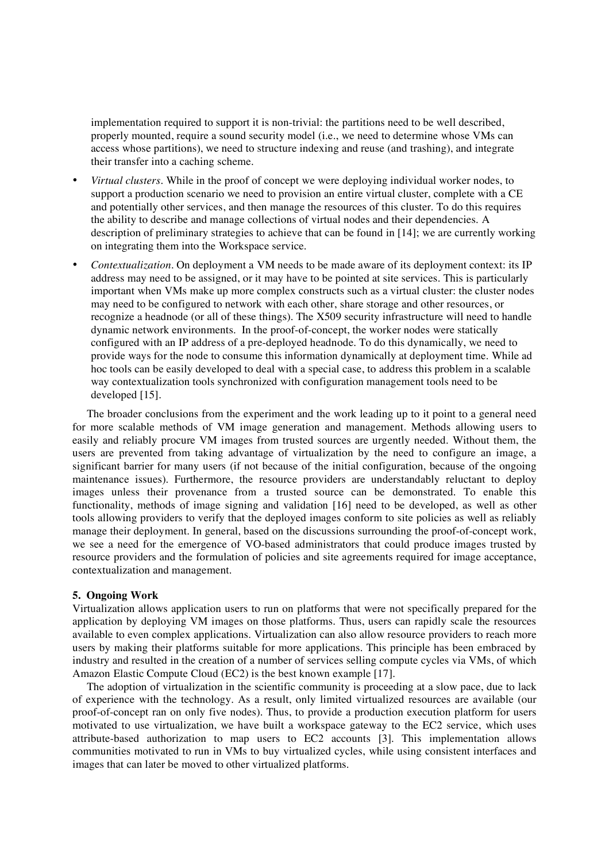implementation required to support it is non-trivial: the partitions need to be well described, properly mounted, require a sound security model (i.e., we need to determine whose VMs can access whose partitions), we need to structure indexing and reuse (and trashing), and integrate their transfer into a caching scheme.

- *Virtual clusters.* While in the proof of concept we were deploying individual worker nodes, to support a production scenario we need to provision an entire virtual cluster, complete with a CE and potentially other services, and then manage the resources of this cluster. To do this requires the ability to describe and manage collections of virtual nodes and their dependencies. A description of preliminary strategies to achieve that can be found in [14]; we are currently working on integrating them into the Workspace service.
- *Contextualization*. On deployment a VM needs to be made aware of its deployment context: its IP address may need to be assigned, or it may have to be pointed at site services. This is particularly important when VMs make up more complex constructs such as a virtual cluster: the cluster nodes may need to be configured to network with each other, share storage and other resources, or recognize a headnode (or all of these things). The X509 security infrastructure will need to handle dynamic network environments. In the proof-of-concept, the worker nodes were statically configured with an IP address of a pre-deployed headnode. To do this dynamically, we need to provide ways for the node to consume this information dynamically at deployment time. While ad hoc tools can be easily developed to deal with a special case, to address this problem in a scalable way contextualization tools synchronized with configuration management tools need to be developed [15].

The broader conclusions from the experiment and the work leading up to it point to a general need for more scalable methods of VM image generation and management. Methods allowing users to easily and reliably procure VM images from trusted sources are urgently needed. Without them, the users are prevented from taking advantage of virtualization by the need to configure an image, a significant barrier for many users (if not because of the initial configuration, because of the ongoing maintenance issues). Furthermore, the resource providers are understandably reluctant to deploy images unless their provenance from a trusted source can be demonstrated. To enable this functionality, methods of image signing and validation [16] need to be developed, as well as other tools allowing providers to verify that the deployed images conform to site policies as well as reliably manage their deployment. In general, based on the discussions surrounding the proof-of-concept work, we see a need for the emergence of VO-based administrators that could produce images trusted by resource providers and the formulation of policies and site agreements required for image acceptance, contextualization and management.

#### **5. Ongoing Work**

Virtualization allows application users to run on platforms that were not specifically prepared for the application by deploying VM images on those platforms. Thus, users can rapidly scale the resources available to even complex applications. Virtualization can also allow resource providers to reach more users by making their platforms suitable for more applications. This principle has been embraced by industry and resulted in the creation of a number of services selling compute cycles via VMs, of which Amazon Elastic Compute Cloud (EC2) is the best known example [17].

The adoption of virtualization in the scientific community is proceeding at a slow pace, due to lack of experience with the technology. As a result, only limited virtualized resources are available (our proof-of-concept ran on only five nodes). Thus, to provide a production execution platform for users motivated to use virtualization, we have built a workspace gateway to the EC2 service, which uses attribute-based authorization to map users to EC2 accounts [3]. This implementation allows communities motivated to run in VMs to buy virtualized cycles, while using consistent interfaces and images that can later be moved to other virtualized platforms.